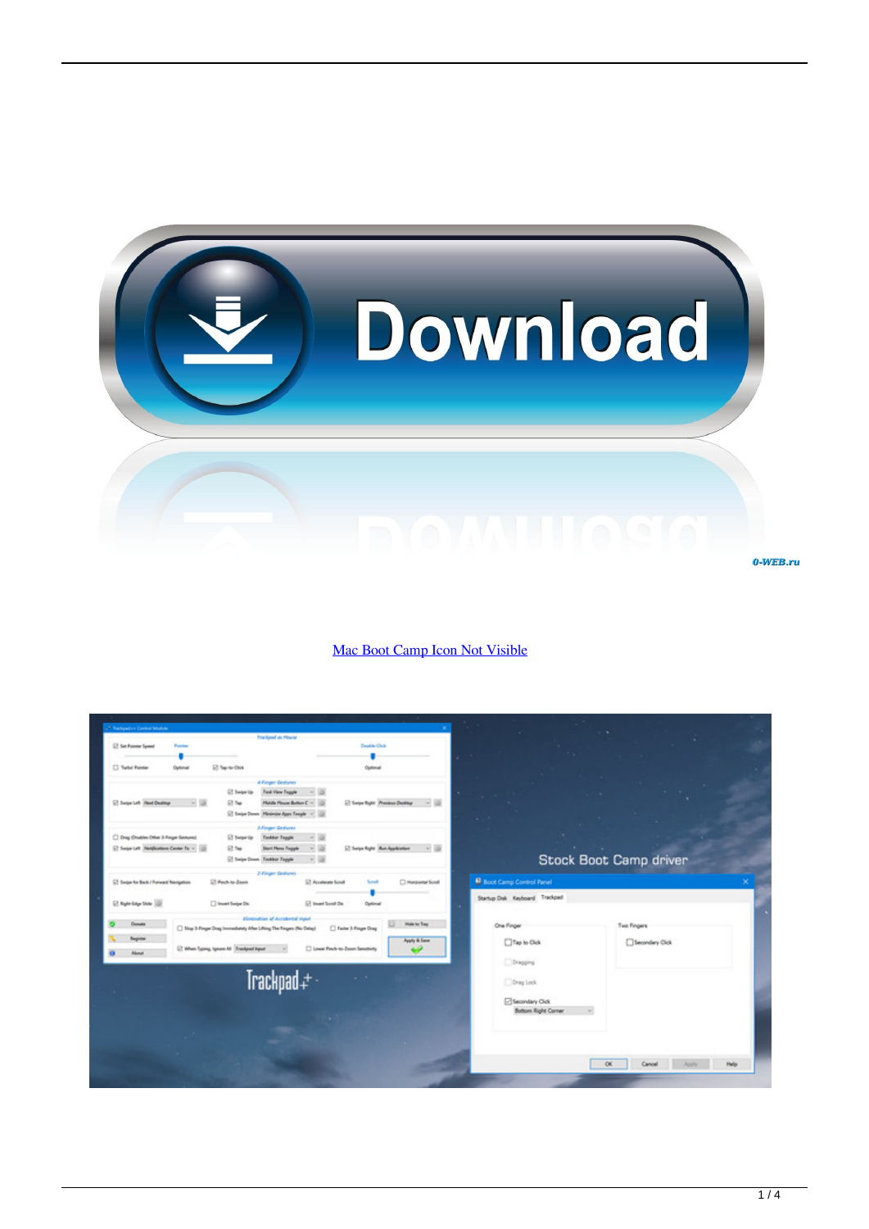

## [Mac Boot Camp Icon Not Visible](https://stevewidme.doodlekit.com/blog/entry/13796948/windows-7-beta-crack-rapidshare-download-fast-exclusive#ZKr=jbcCTf2qGq3BVjeiJfwtLXMyPnxAwbcDV5eiU92y==)

| <sup>2</sup> Trackgrade in Commit Module |                 |                                                                                |                                       |                                                 |                                  |                             |  |  |
|------------------------------------------|-----------------|--------------------------------------------------------------------------------|---------------------------------------|-------------------------------------------------|----------------------------------|-----------------------------|--|--|
| <b>El Sat Pointer Spaud</b>              | <b>Painting</b> | <b>Trackport as Mouran</b>                                                     | Double Civic                          |                                                 |                                  |                             |  |  |
|                                          |                 |                                                                                |                                       |                                                 |                                  |                             |  |  |
| <sup>2</sup> Tartet Pointer              | Optimal         | El ferre-dos                                                                   | Optimal                               |                                                 |                                  |                             |  |  |
|                                          |                 |                                                                                |                                       |                                                 |                                  |                             |  |  |
|                                          |                 | <b><i>A Finger Gratures</i></b>                                                |                                       |                                                 |                                  |                             |  |  |
|                                          |                 | Foot View Feggie<br>ET Swipe Via                                               |                                       |                                                 |                                  |                             |  |  |
| C Sepriah RestDelling<br>$-120$          |                 | 814                                                                            | Middle Please Bolton C ~              |                                                 |                                  |                             |  |  |
|                                          |                 | 2 Swipe Down Minimize Apps Toople ~                                            |                                       |                                                 | 41.1                             |                             |  |  |
|                                          |                 | <b>Jollager Gedures</b>                                                        |                                       |                                                 |                                  |                             |  |  |
| C Drag (Dradden Other 3 Regan Sections)  |                 | 12 Seize in<br>Tankhar Taggia                                                  |                                       |                                                 |                                  |                             |  |  |
| El Separtet (Nethanian Center To ~ 10)   |                 | 53 fee<br>Start Harry Trapple                                                  | $-15$                                 | El Swipe Right   Ron-Application<br>$\times$ 15 |                                  |                             |  |  |
|                                          |                 | C Seize Down Taskbar Taggle                                                    |                                       |                                                 | Stock Boot Camp driver           |                             |  |  |
|                                          |                 | 2-Finger Grotunes                                                              |                                       |                                                 |                                  |                             |  |  |
| ET Swige for Back / Ronward Navigation   |                 | ET Paulo to Zoom                                                               | El Acorisone Screet<br>South          | <sup>2</sup> Marizontal Scroll                  | <b>B</b> Boot Camp Control Fanel |                             |  |  |
|                                          |                 |                                                                                |                                       |                                                 | Startup Disk Keyboard Trackpad   |                             |  |  |
| C Syle Live Dide 100                     |                 | Di linusri Seriye Dis.                                                         | <b>Ed board Screed On:</b><br>Optimal |                                                 |                                  |                             |  |  |
| Donata                                   |                 | Elimination of Accidental Input                                                |                                       | <b>Hide to Toy</b>                              |                                  |                             |  |  |
|                                          |                 | <sup>1</sup> Boy 3-Finger Dog Immediately After Lifting The Fingers (No Delay) | <b>C</b> Faster 3-Finger Disg         |                                                 | One Finger                       | Two Fingers                 |  |  |
| Register                                 |                 |                                                                                |                                       | Apply & Save                                    | The to Olds                      | Secondary Click             |  |  |
| Aluna                                    |                 | El When Typing, Spraw All Thankpool liquot                                     | [] Lower Porch to Zoom Senatorty      |                                                 |                                  |                             |  |  |
|                                          |                 |                                                                                |                                       |                                                 | Dongong                          |                             |  |  |
|                                          |                 | Trackpad <sup>+</sup>                                                          | $\alpha_{\rm eff} < 0.1$              |                                                 |                                  |                             |  |  |
|                                          |                 |                                                                                |                                       |                                                 | Ding Look                        |                             |  |  |
|                                          |                 |                                                                                |                                       |                                                 | Secondary Clok                   |                             |  |  |
|                                          |                 |                                                                                |                                       |                                                 | Bottom Right Corner              | w.                          |  |  |
|                                          |                 |                                                                                |                                       |                                                 |                                  |                             |  |  |
|                                          |                 |                                                                                |                                       |                                                 |                                  |                             |  |  |
|                                          |                 |                                                                                |                                       |                                                 |                                  |                             |  |  |
|                                          |                 |                                                                                |                                       |                                                 |                                  |                             |  |  |
|                                          |                 |                                                                                |                                       |                                                 |                                  | OK<br>Cancel<br><b>Help</b> |  |  |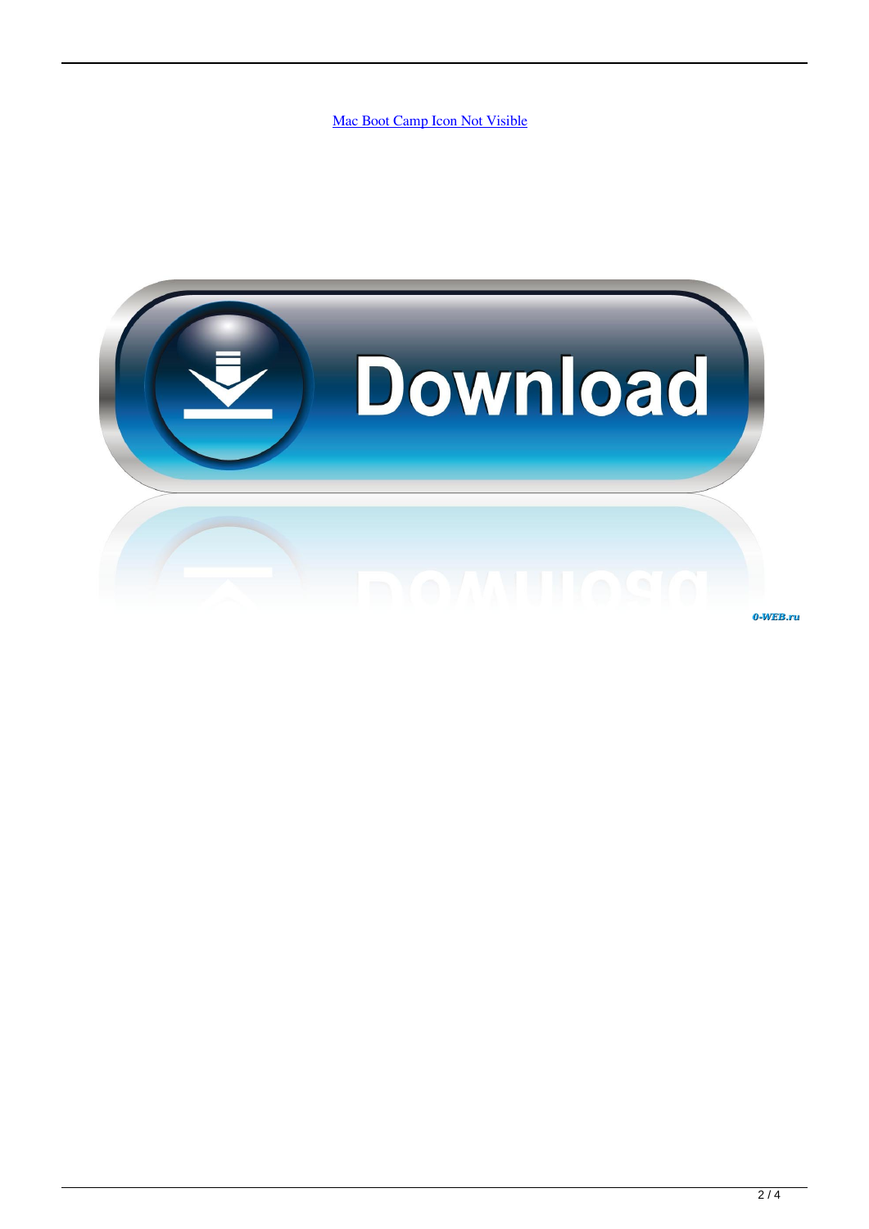[Mac Boot Camp Icon Not Visible](https://stevewidme.doodlekit.com/blog/entry/13796948/windows-7-beta-crack-rapidshare-download-fast-exclusive#ZKr=jbcCTf2qGq3BVjeiJfwtLXMyPnxAwbcDV5eiU92y==)

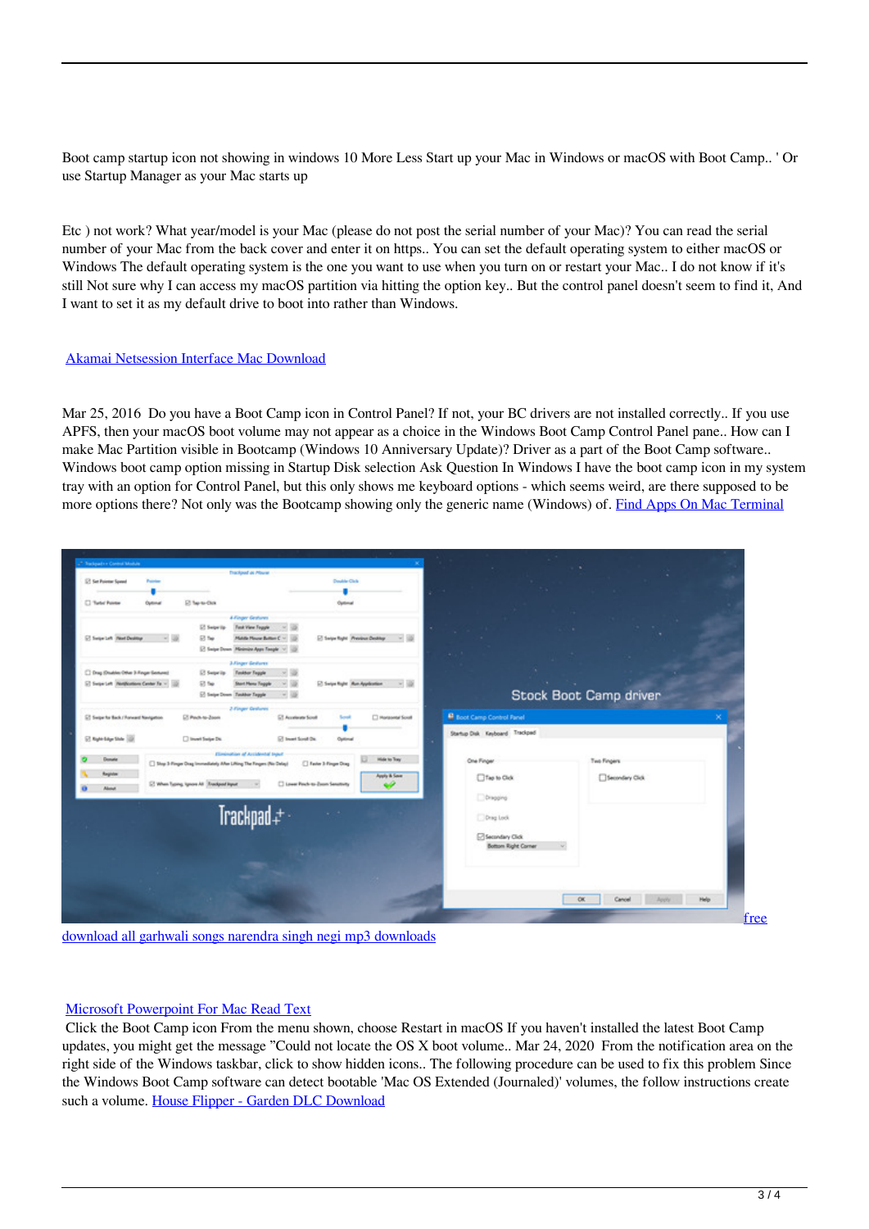Boot camp startup icon not showing in windows 10 More Less Start up your Mac in Windows or macOS with Boot Camp.. ' Or use Startup Manager as your Mac starts up

Etc ) not work? What year/model is your Mac (please do not post the serial number of your Mac)? You can read the serial number of your Mac from the back cover and enter it on https.. You can set the default operating system to either macOS or Windows The default operating system is the one you want to use when you turn on or restart your Mac.. I do not know if it's still Not sure why I can access my macOS partition via hitting the option key.. But the control panel doesn't seem to find it, And I want to set it as my default drive to boot into rather than Windows.

## [Akamai Netsession Interface Mac Download](http://elpomthumbpriv.blogg.se/2021/march/akamai-netsession-interface-mac-download.html)

Mar 25, 2016 Do you have a Boot Camp icon in Control Panel? If not, your BC drivers are not installed correctly.. If you use APFS, then your macOS boot volume may not appear as a choice in the Windows Boot Camp Control Panel pane.. How can I make Mac Partition visible in Bootcamp (Windows 10 Anniversary Update)? Driver as a part of the Boot Camp software.. Windows boot camp option missing in Startup Disk selection Ask Question In Windows I have the boot camp icon in my system tray with an option for Control Panel, but this only shows me keyboard options - which seems weird, are there supposed to be more options there? Not only was the Bootcamp showing only the generic name (Windows) of. [Find Apps On Mac Terminal](https://seconcoci.over-blog.com/2021/03/Find-Apps-On-Mac-Terminal.html)

| <sup>2</sup> Tradiçual i e Control Module        |                                                                                 |                                       |                                              |                                  |                        |                 |      |
|--------------------------------------------------|---------------------------------------------------------------------------------|---------------------------------------|----------------------------------------------|----------------------------------|------------------------|-----------------|------|
| <b>E</b> Set Polemar Spanel<br><b>Projection</b> | <b>Trackport as Mourer</b>                                                      | Double Civic                          |                                              |                                  |                        |                 |      |
|                                                  |                                                                                 |                                       |                                              |                                  |                        |                 |      |
| <sup>7</sup> Turbs' Pointer<br>Optimal           | El fermidios                                                                    | Optimal                               |                                              |                                  |                        |                 |      |
|                                                  |                                                                                 |                                       |                                              |                                  |                        |                 |      |
|                                                  | <b>A Finger Gratures</b><br>El Selpe'lip<br>Foot View Feggie                    |                                       |                                              |                                  |                        |                 |      |
| C Sepriah RestDelling                            | 53 Ter<br>Middle Meure Button C ~                                               |                                       | El Swipe Right   President Denting   14   12 |                                  |                        |                 |      |
|                                                  | C Swipe Down Minimize Apps Toople ~ 12                                          |                                       |                                              |                                  |                        |                 |      |
|                                                  | <b>Jollager Gedures</b>                                                         |                                       |                                              |                                  |                        |                 |      |
| C Drag (Doubles Other 3-Finger Sections)         | 12 Seize in<br><b>Tasktor Teggle</b>                                            |                                       |                                              |                                  |                        |                 |      |
| El Separtet (Nethinton Center To ~ 10)           | St fee<br>Start Hans Taggle                                                     |                                       |                                              |                                  |                        |                 |      |
|                                                  | [2] Seize Down Taskbar Taggle                                                   | <b>1999</b>                           |                                              |                                  | Stock Boot Camp driver |                 |      |
|                                                  | 2-Finger Grahams                                                                |                                       |                                              |                                  |                        |                 |      |
| ET Swipe for Back / Ronward Navigation           | ET Pault-to-Zoom                                                                | 57 Accelerate Screet<br>South         | <b>C Horizontal Scrutt</b>                   | <b>B</b> Boot Camp Control Panel |                        |                 |      |
|                                                  |                                                                                 |                                       |                                              | Startup Disk Keyboard Trackpad   |                        |                 |      |
| C Sylvian Die 10                                 | Diewel Serge Do.                                                                | <b>Ed board Screed On:</b><br>Optimal |                                              |                                  |                        |                 |      |
|                                                  | Elimination of Accidental Input                                                 |                                       |                                              |                                  |                        |                 |      |
| Donata                                           | <sup>2</sup> Ship 3-Finger Dog Immediately After Lifting The Fingers (No Delay) | E Faster 3-Finger Disg                | make to Tony                                 | One Finger                       | Two Fingers            |                 |      |
| Register                                         |                                                                                 |                                       | Apply & Save                                 | The to Olds                      |                        | Secondary Click |      |
| About                                            | El When Typing, Spraw All Threstynet Hyper                                      | [] Lewer Porch to Zoom Senatorty      |                                              |                                  |                        |                 |      |
|                                                  |                                                                                 |                                       |                                              | Dongong                          |                        |                 |      |
|                                                  | Trackpad +                                                                      | <b>Service</b>                        |                                              | Ding Look                        |                        |                 |      |
|                                                  |                                                                                 |                                       |                                              |                                  |                        |                 |      |
|                                                  |                                                                                 |                                       |                                              | Secondary Click                  |                        |                 |      |
|                                                  |                                                                                 |                                       |                                              | Bottom Right Corner              |                        |                 |      |
|                                                  |                                                                                 |                                       |                                              |                                  |                        |                 |      |
|                                                  |                                                                                 |                                       |                                              |                                  |                        |                 |      |
|                                                  |                                                                                 |                                       |                                              |                                  |                        |                 |      |
|                                                  |                                                                                 |                                       |                                              |                                  | OK                     | Cancel          | Help |
|                                                  |                                                                                 |                                       |                                              |                                  |                        |                 |      |

[download all garhwali songs narendra singh negi mp3 downloads](https://adoring-jang-1c1850.netlify.app/free-download-all-garhwali-songs-narendra-singh-negi-mp3-downloads.pdf)

## [Microsoft Powerpoint For Mac Read Text](http://letacafor.webblogg.se/2021/march/microsoft-powerpoint-for-mac-read-text.html)

 Click the Boot Camp icon From the menu shown, choose Restart in macOS If you haven't installed the latest Boot Camp updates, you might get the message "Could not locate the OS X boot volume.. Mar 24, 2020 From the notification area on the right side of the Windows taskbar, click to show hidden icons.. The following procedure can be used to fix this problem Since the Windows Boot Camp software can detect bootable 'Mac OS Extended (Journaled)' volumes, the follow instructions create such a volume. [House Flipper - Garden DLC Download](https://lalefwisi.weebly.com/blog/house-flipper-garden-dlc-download)